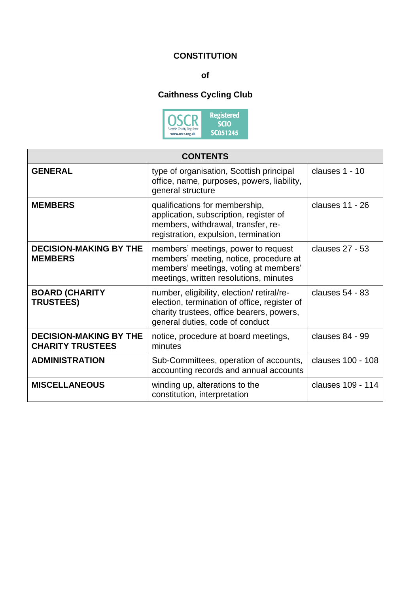## **CONSTITUTION**

**of**

# **Caithness Cycling Club**



| <b>CONTENTS</b>                                          |                                                                                                                                                                           |                   |
|----------------------------------------------------------|---------------------------------------------------------------------------------------------------------------------------------------------------------------------------|-------------------|
| <b>GENERAL</b>                                           | type of organisation, Scottish principal<br>office, name, purposes, powers, liability,<br>general structure                                                               | clauses 1 - 10    |
| <b>MEMBERS</b>                                           | qualifications for membership,<br>application, subscription, register of<br>members, withdrawal, transfer, re-<br>registration, expulsion, termination                    | clauses 11 - 26   |
| <b>DECISION-MAKING BY THE</b><br><b>MEMBERS</b>          | members' meetings, power to request<br>members' meeting, notice, procedure at<br>members' meetings, voting at members'<br>meetings, written resolutions, minutes          | clauses 27 - 53   |
| <b>BOARD (CHARITY</b><br><b>TRUSTEES)</b>                | number, eligibility, election/retiral/re-<br>election, termination of office, register of<br>charity trustees, office bearers, powers,<br>general duties, code of conduct | clauses 54 - 83   |
| <b>DECISION-MAKING BY THE</b><br><b>CHARITY TRUSTEES</b> | notice, procedure at board meetings,<br>minutes                                                                                                                           | clauses 84 - 99   |
| <b>ADMINISTRATION</b>                                    | Sub-Committees, operation of accounts,<br>accounting records and annual accounts                                                                                          | clauses 100 - 108 |
| <b>MISCELLANEOUS</b>                                     | winding up, alterations to the<br>constitution, interpretation                                                                                                            | clauses 109 - 114 |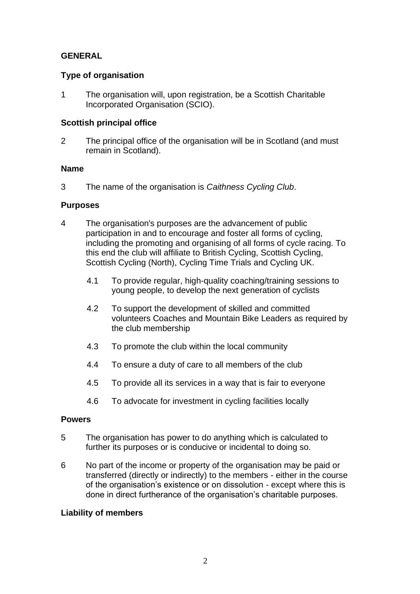## **GENERAL**

## **Type of organisation**

1 The organisation will, upon registration, be a Scottish Charitable Incorporated Organisation (SCIO).

## **Scottish principal office**

2 The principal office of the organisation will be in Scotland (and must remain in Scotland).

## **Name**

3 The name of the organisation is *Caithness Cycling Club*.

## **Purposes**

- 4 The organisation's purposes are the advancement of public participation in and to encourage and foster all forms of cycling, including the promoting and organising of all forms of cycle racing. To this end the club will affiliate to British Cycling, Scottish Cycling, Scottish Cycling (North), Cycling Time Trials and Cycling UK.
	- 4.1 To provide regular, high-quality coaching/training sessions to young people, to develop the next generation of cyclists
	- 4.2 To support the development of skilled and committed volunteers Coaches and Mountain Bike Leaders as required by the club membership
	- 4.3 To promote the club within the local community
	- 4.4 To ensure a duty of care to all members of the club
	- 4.5 To provide all its services in a way that is fair to everyone
	- 4.6 To advocate for investment in cycling facilities locally

## **Powers**

- 5 The organisation has power to do anything which is calculated to further its purposes or is conducive or incidental to doing so.
- 6 No part of the income or property of the organisation may be paid or transferred (directly or indirectly) to the members - either in the course of the organisation's existence or on dissolution - except where this is done in direct furtherance of the organisation's charitable purposes.

## **Liability of members**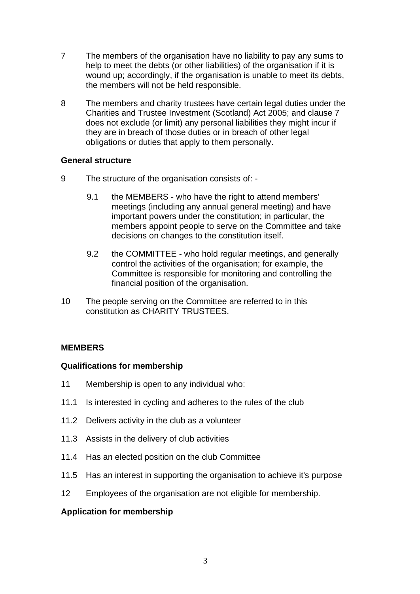- 7 The members of the organisation have no liability to pay any sums to help to meet the debts (or other liabilities) of the organisation if it is wound up; accordingly, if the organisation is unable to meet its debts, the members will not be held responsible.
- 8 The members and charity trustees have certain legal duties under the Charities and Trustee Investment (Scotland) Act 2005; and clause 7 does not exclude (or limit) any personal liabilities they might incur if they are in breach of those duties or in breach of other legal obligations or duties that apply to them personally.

#### **General structure**

- 9 The structure of the organisation consists of:
	- 9.1 the MEMBERS who have the right to attend members' meetings (including any annual general meeting) and have important powers under the constitution; in particular, the members appoint people to serve on the Committee and take decisions on changes to the constitution itself.
	- 9.2 the COMMITTEE who hold regular meetings, and generally control the activities of the organisation; for example, the Committee is responsible for monitoring and controlling the financial position of the organisation.
- 10 The people serving on the Committee are referred to in this constitution as CHARITY TRUSTEES.

## **MEMBERS**

## **Qualifications for membership**

- 11 Membership is open to any individual who:
- 11.1 Is interested in cycling and adheres to the rules of the club
- 11.2 Delivers activity in the club as a volunteer
- 11.3 Assists in the delivery of club activities
- 11.4 Has an elected position on the club Committee
- 11.5 Has an interest in supporting the organisation to achieve it's purpose
- 12 Employees of the organisation are not eligible for membership.

## **Application for membership**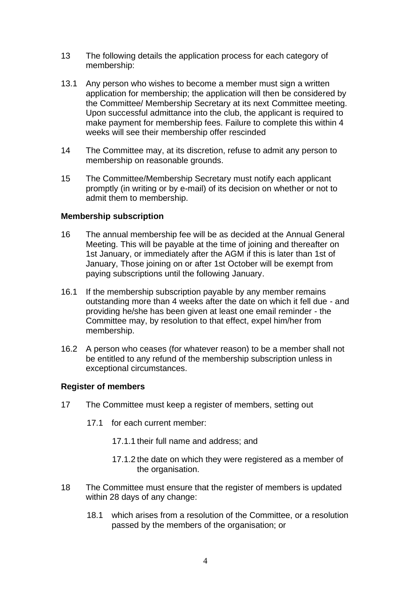- 13 The following details the application process for each category of membership:
- 13.1 Any person who wishes to become a member must sign a written application for membership; the application will then be considered by the Committee/ Membership Secretary at its next Committee meeting. Upon successful admittance into the club, the applicant is required to make payment for membership fees. Failure to complete this within 4 weeks will see their membership offer rescinded
- 14 The Committee may, at its discretion, refuse to admit any person to membership on reasonable grounds.
- 15 The Committee/Membership Secretary must notify each applicant promptly (in writing or by e-mail) of its decision on whether or not to admit them to membership.

## **Membership subscription**

- 16 The annual membership fee will be as decided at the Annual General Meeting. This will be payable at the time of joining and thereafter on 1st January, or immediately after the AGM if this is later than 1st of January, Those joining on or after 1st October will be exempt from paying subscriptions until the following January.
- 16.1 If the membership subscription payable by any member remains outstanding more than 4 weeks after the date on which it fell due - and providing he/she has been given at least one email reminder - the Committee may, by resolution to that effect, expel him/her from membership.
- 16.2 A person who ceases (for whatever reason) to be a member shall not be entitled to any refund of the membership subscription unless in exceptional circumstances.

## **Register of members**

- 17 The Committee must keep a register of members, setting out
	- 17.1 for each current member:
		- 17.1.1 their full name and address; and
		- 17.1.2 the date on which they were registered as a member of the organisation.
- 18 The Committee must ensure that the register of members is updated within 28 days of any change:
	- 18.1 which arises from a resolution of the Committee, or a resolution passed by the members of the organisation; or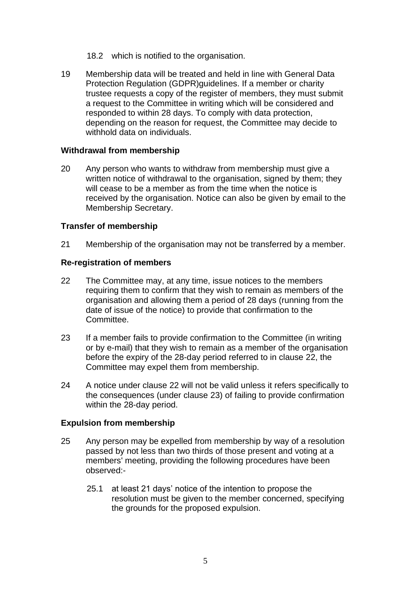- 18.2 which is notified to the organisation.
- 19 Membership data will be treated and held in line with General Data Protection Regulation (GDPR)guidelines. If a member or charity trustee requests a copy of the register of members, they must submit a request to the Committee in writing which will be considered and responded to within 28 days. To comply with data protection, depending on the reason for request, the Committee may decide to withhold data on individuals.

#### **Withdrawal from membership**

20 Any person who wants to withdraw from membership must give a written notice of withdrawal to the organisation, signed by them; they will cease to be a member as from the time when the notice is received by the organisation. Notice can also be given by email to the Membership Secretary.

#### **Transfer of membership**

21 Membership of the organisation may not be transferred by a member.

#### **Re-registration of members**

- 22 The Committee may, at any time, issue notices to the members requiring them to confirm that they wish to remain as members of the organisation and allowing them a period of 28 days (running from the date of issue of the notice) to provide that confirmation to the Committee.
- 23 If a member fails to provide confirmation to the Committee (in writing or by e-mail) that they wish to remain as a member of the organisation before the expiry of the 28-day period referred to in clause 22, the Committee may expel them from membership.
- 24 A notice under clause 22 will not be valid unless it refers specifically to the consequences (under clause 23) of failing to provide confirmation within the 28-day period.

#### **Expulsion from membership**

- 25 Any person may be expelled from membership by way of a resolution passed by not less than two thirds of those present and voting at a members' meeting, providing the following procedures have been observed:-
	- 25.1 at least 21 days' notice of the intention to propose the resolution must be given to the member concerned, specifying the grounds for the proposed expulsion.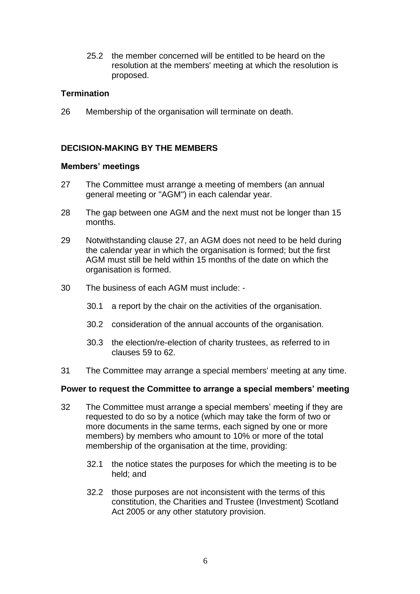25.2 the member concerned will be entitled to be heard on the resolution at the members' meeting at which the resolution is proposed.

## **Termination**

26 Membership of the organisation will terminate on death.

## **DECISION-MAKING BY THE MEMBERS**

#### **Members' meetings**

- 27 The Committee must arrange a meeting of members (an annual general meeting or "AGM") in each calendar year.
- 28 The gap between one AGM and the next must not be longer than 15 months.
- 29 Notwithstanding clause 27, an AGM does not need to be held during the calendar year in which the organisation is formed; but the first AGM must still be held within 15 months of the date on which the organisation is formed.
- 30 The business of each AGM must include:
	- 30.1 a report by the chair on the activities of the organisation.
	- 30.2 consideration of the annual accounts of the organisation.
	- 30.3 the election/re-election of charity trustees, as referred to in clauses 59 to 62.
- 31 The Committee may arrange a special members' meeting at any time.

#### **Power to request the Committee to arrange a special members' meeting**

- 32 The Committee must arrange a special members' meeting if they are requested to do so by a notice (which may take the form of two or more documents in the same terms, each signed by one or more members) by members who amount to 10% or more of the total membership of the organisation at the time, providing:
	- 32.1 the notice states the purposes for which the meeting is to be held; and
	- 32.2 those purposes are not inconsistent with the terms of this constitution, the Charities and Trustee (Investment) Scotland Act 2005 or any other statutory provision.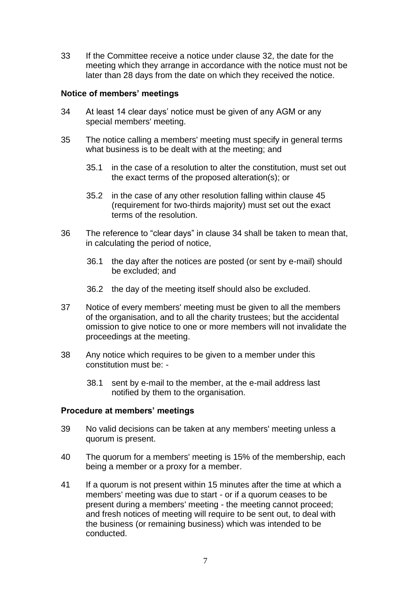33 If the Committee receive a notice under clause 32, the date for the meeting which they arrange in accordance with the notice must not be later than 28 days from the date on which they received the notice.

## **Notice of members' meetings**

- 34 At least 14 clear days' notice must be given of any AGM or any special members' meeting.
- 35 The notice calling a members' meeting must specify in general terms what business is to be dealt with at the meeting; and
	- 35.1 in the case of a resolution to alter the constitution, must set out the exact terms of the proposed alteration(s); or
	- 35.2 in the case of any other resolution falling within clause 45 (requirement for two-thirds majority) must set out the exact terms of the resolution.
- 36 The reference to "clear days" in clause 34 shall be taken to mean that, in calculating the period of notice,
	- 36.1 the day after the notices are posted (or sent by e-mail) should be excluded; and
	- 36.2 the day of the meeting itself should also be excluded.
- 37 Notice of every members' meeting must be given to all the members of the organisation, and to all the charity trustees; but the accidental omission to give notice to one or more members will not invalidate the proceedings at the meeting.
- 38 Any notice which requires to be given to a member under this constitution must be: -
	- 38.1 sent by e-mail to the member, at the e-mail address last notified by them to the organisation.

#### **Procedure at members' meetings**

- 39 No valid decisions can be taken at any members' meeting unless a quorum is present.
- 40 The quorum for a members' meeting is 15% of the membership, each being a member or a proxy for a member.
- 41 If a quorum is not present within 15 minutes after the time at which a members' meeting was due to start - or if a quorum ceases to be present during a members' meeting - the meeting cannot proceed; and fresh notices of meeting will require to be sent out, to deal with the business (or remaining business) which was intended to be conducted.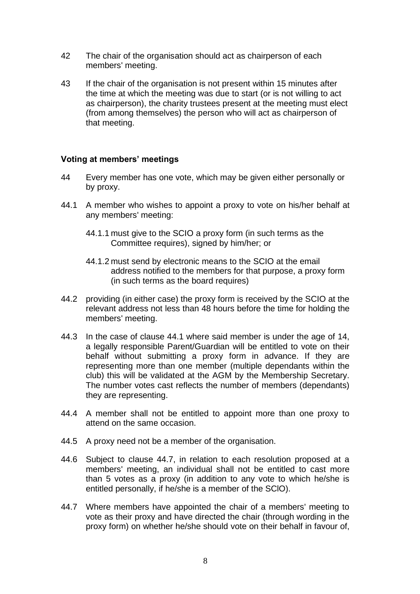- 42 The chair of the organisation should act as chairperson of each members' meeting.
- 43 If the chair of the organisation is not present within 15 minutes after the time at which the meeting was due to start (or is not willing to act as chairperson), the charity trustees present at the meeting must elect (from among themselves) the person who will act as chairperson of that meeting.

## **Voting at members' meetings**

- 44 Every member has one vote, which may be given either personally or by proxy.
- 44.1 A member who wishes to appoint a proxy to vote on his/her behalf at any members' meeting:
	- 44.1.1 must give to the SCIO a proxy form (in such terms as the Committee requires), signed by him/her; or
	- 44.1.2 must send by electronic means to the SCIO at the email address notified to the members for that purpose, a proxy form (in such terms as the board requires)
- 44.2 providing (in either case) the proxy form is received by the SCIO at the relevant address not less than 48 hours before the time for holding the members' meeting.
- 44.3 In the case of clause 44.1 where said member is under the age of 14, a legally responsible Parent/Guardian will be entitled to vote on their behalf without submitting a proxy form in advance. If they are representing more than one member (multiple dependants within the club) this will be validated at the AGM by the Membership Secretary. The number votes cast reflects the number of members (dependants) they are representing.
- 44.4 A member shall not be entitled to appoint more than one proxy to attend on the same occasion.
- 44.5 A proxy need not be a member of the organisation.
- 44.6 Subject to clause 44.7, in relation to each resolution proposed at a members' meeting, an individual shall not be entitled to cast more than 5 votes as a proxy (in addition to any vote to which he/she is entitled personally, if he/she is a member of the SClO).
- 44.7 Where members have appointed the chair of a members' meeting to vote as their proxy and have directed the chair (through wording in the proxy form) on whether he/she should vote on their behalf in favour of,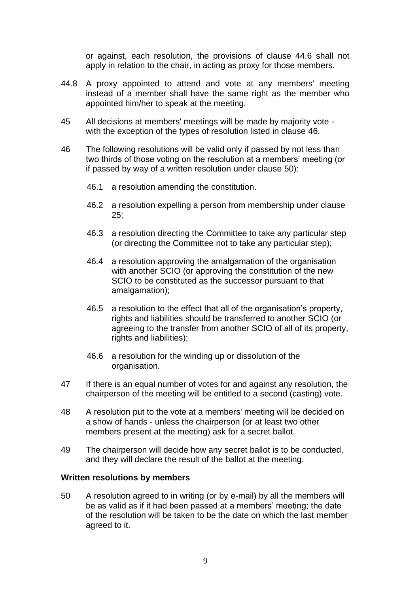or against, each resolution, the provisions of clause 44.6 shall not apply in relation to the chair, in acting as proxy for those members.

- 44.8 A proxy appointed to attend and vote at any members' meeting instead of a member shall have the same right as the member who appointed him/her to speak at the meeting.
- 45 All decisions at members' meetings will be made by majority vote with the exception of the types of resolution listed in clause 46.
- 46 The following resolutions will be valid only if passed by not less than two thirds of those voting on the resolution at a members' meeting (or if passed by way of a written resolution under clause 50):
	- 46.1 a resolution amending the constitution.
	- 46.2 a resolution expelling a person from membership under clause 25;
	- 46.3 a resolution directing the Committee to take any particular step (or directing the Committee not to take any particular step);
	- 46.4 a resolution approving the amalgamation of the organisation with another SCIO (or approving the constitution of the new SCIO to be constituted as the successor pursuant to that amalgamation);
	- 46.5 a resolution to the effect that all of the organisation's property, rights and liabilities should be transferred to another SCIO (or agreeing to the transfer from another SCIO of all of its property, rights and liabilities);
	- 46.6 a resolution for the winding up or dissolution of the organisation.
- 47 If there is an equal number of votes for and against any resolution, the chairperson of the meeting will be entitled to a second (casting) vote.
- 48 A resolution put to the vote at a members' meeting will be decided on a show of hands - unless the chairperson (or at least two other members present at the meeting) ask for a secret ballot.
- 49 The chairperson will decide how any secret ballot is to be conducted, and they will declare the result of the ballot at the meeting.

## **Written resolutions by members**

50 A resolution agreed to in writing (or by e-mail) by all the members will be as valid as if it had been passed at a members' meeting; the date of the resolution will be taken to be the date on which the last member agreed to it.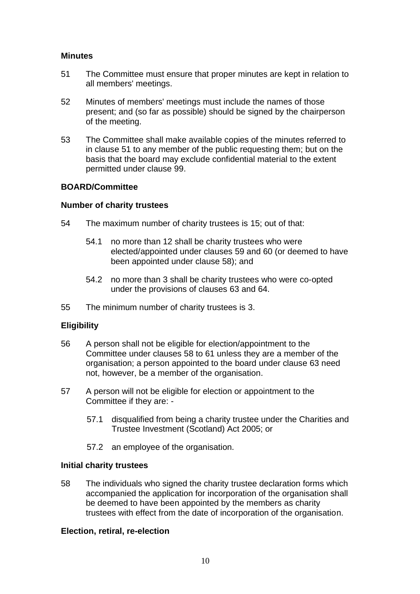## **Minutes**

- 51 The Committee must ensure that proper minutes are kept in relation to all members' meetings.
- 52 Minutes of members' meetings must include the names of those present; and (so far as possible) should be signed by the chairperson of the meeting.
- 53 The Committee shall make available copies of the minutes referred to in clause 51 to any member of the public requesting them; but on the basis that the board may exclude confidential material to the extent permitted under clause 99.

## **BOARD/Committee**

## **Number of charity trustees**

- 54 The maximum number of charity trustees is 15; out of that:
	- 54.1 no more than 12 shall be charity trustees who were elected/appointed under clauses 59 and 60 (or deemed to have been appointed under clause 58); and
	- 54.2 no more than 3 shall be charity trustees who were co-opted under the provisions of clauses [63](#page-10-0) and [64.](#page-10-1)
- 55 The minimum number of charity trustees is 3.

## **Eligibility**

- 56 A person shall not be eligible for election/appointment to the Committee under clauses 58 to 61 unless they are a member of the organisation; a person appointed to the board under clause [63](#page-10-0) need not, however, be a member of the organisation.
- 57 A person will not be eligible for election or appointment to the Committee if they are: -
	- 57.1 disqualified from being a charity trustee under the Charities and Trustee Investment (Scotland) Act 2005; or
	- 57.2 an employee of the organisation.

## **Initial charity trustees**

58 The individuals who signed the charity trustee declaration forms which accompanied the application for incorporation of the organisation shall be deemed to have been appointed by the members as charity trustees with effect from the date of incorporation of the organisation.

## **Election, retiral, re-election**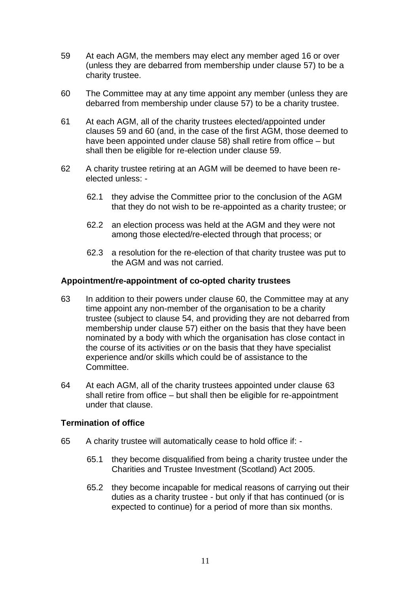- 59 At each AGM, the members may elect any member aged 16 or over (unless they are debarred from membership under clause 57) to be a charity trustee.
- 60 The Committee may at any time appoint any member (unless they are debarred from membership under clause 57) to be a charity trustee.
- 61 At each AGM, all of the charity trustees elected/appointed under clauses 59 and 60 (and, in the case of the first AGM, those deemed to have been appointed under clause 58) shall retire from office – but shall then be eligible for re-election under clause 59.
- 62 A charity trustee retiring at an AGM will be deemed to have been reelected unless: -
	- 62.1 they advise the Committee prior to the conclusion of the AGM that they do not wish to be re-appointed as a charity trustee; or
	- 62.2 an election process was held at the AGM and they were not among those elected/re-elected through that process; or
	- 62.3 a resolution for the re-election of that charity trustee was put to the AGM and was not carried.

## **Appointment/re-appointment of co-opted charity trustees**

- <span id="page-10-0"></span>63 In addition to their powers under clause 60, the Committee may at any time appoint any non-member of the organisation to be a charity trustee (subject to clause 54, and providing they are not debarred from membership under clause 57) either on the basis that they have been nominated by a body with which the organisation has close contact in the course of its activities *or* on the basis that they have specialist experience and/or skills which could be of assistance to the Committee.
- <span id="page-10-1"></span>64 At each AGM, all of the charity trustees appointed under clause [63](#page-10-0) shall retire from office – but shall then be eligible for re-appointment under that clause.

## **Termination of office**

- 65 A charity trustee will automatically cease to hold office if:
	- 65.1 they become disqualified from being a charity trustee under the Charities and Trustee Investment (Scotland) Act 2005.
	- 65.2 they become incapable for medical reasons of carrying out their duties as a charity trustee - but only if that has continued (or is expected to continue) for a period of more than six months.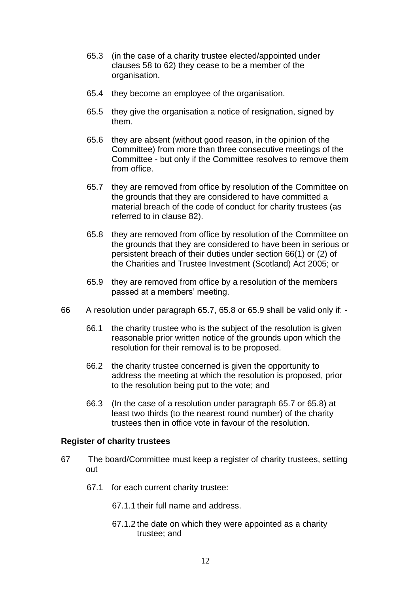- 65.3 (in the case of a charity trustee elected/appointed under clauses 58 to 62) they cease to be a member of the organisation.
- 65.4 they become an employee of the organisation.
- 65.5 they give the organisation a notice of resignation, signed by them.
- 65.6 they are absent (without good reason, in the opinion of the Committee) from more than three consecutive meetings of the Committee - but only if the Committee resolves to remove them from office.
- 65.7 they are removed from office by resolution of the Committee on the grounds that they are considered to have committed a material breach of the code of conduct for charity trustees (as referred to in clause 82).
- 65.8 they are removed from office by resolution of the Committee on the grounds that they are considered to have been in serious or persistent breach of their duties under section 66(1) or (2) of the Charities and Trustee Investment (Scotland) Act 2005; or
- 65.9 they are removed from office by a resolution of the members passed at a members' meeting.
- 66 A resolution under paragraph 65.7, 65.8 or 65.9 shall be valid only if:
	- 66.1 the charity trustee who is the subject of the resolution is given reasonable prior written notice of the grounds upon which the resolution for their removal is to be proposed.
	- 66.2 the charity trustee concerned is given the opportunity to address the meeting at which the resolution is proposed, prior to the resolution being put to the vote; and
	- 66.3 (In the case of a resolution under paragraph 65.7 or 65.8) at least two thirds (to the nearest round number) of the charity trustees then in office vote in favour of the resolution.

## **Register of charity trustees**

- 67 The board/Committee must keep a register of charity trustees, setting out
	- 67.1 for each current charity trustee:
		- 67.1.1 their full name and address.
		- 67.1.2 the date on which they were appointed as a charity trustee; and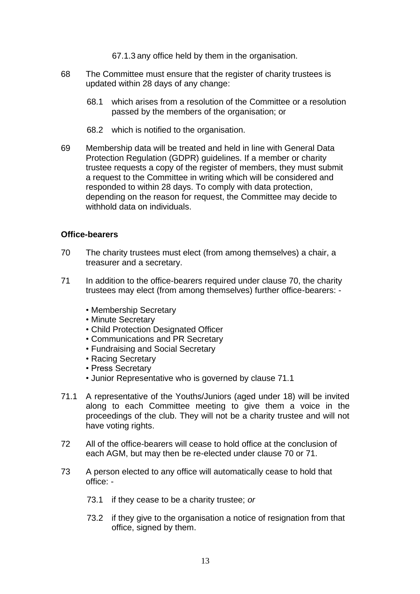67.1.3 any office held by them in the organisation.

- 68 The Committee must ensure that the register of charity trustees is updated within 28 days of any change:
	- 68.1 which arises from a resolution of the Committee or a resolution passed by the members of the organisation; or
	- 68.2 which is notified to the organisation.
- 69 Membership data will be treated and held in line with General Data Protection Regulation (GDPR) guidelines. If a member or charity trustee requests a copy of the register of members, they must submit a request to the Committee in writing which will be considered and responded to within 28 days. To comply with data protection, depending on the reason for request, the Committee may decide to withhold data on individuals.

## **Office-bearers**

- 70 The charity trustees must elect (from among themselves) a chair, a treasurer and a secretary.
- 71 In addition to the office-bearers required under clause 70, the charity trustees may elect (from among themselves) further office-bearers: -
	- Membership Secretary
	- Minute Secretary
	- Child Protection Designated Officer
	- Communications and PR Secretary
	- Fundraising and Social Secretary
	- Racing Secretary
	- Press Secretary
	- Junior Representative who is governed by clause 71.1
- 71.1 A representative of the Youths/Juniors (aged under 18) will be invited along to each Committee meeting to give them a voice in the proceedings of the club. They will not be a charity trustee and will not have voting rights.
- 72 All of the office-bearers will cease to hold office at the conclusion of each AGM, but may then be re-elected under clause 70 or 71.
- 73 A person elected to any office will automatically cease to hold that office: -
	- 73.1 if they cease to be a charity trustee; *or*
	- 73.2 if they give to the organisation a notice of resignation from that office, signed by them.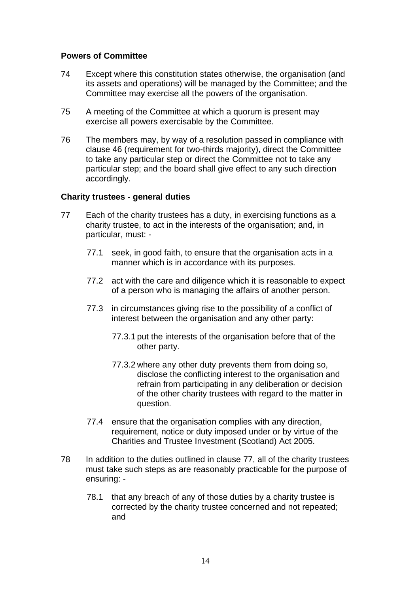## **Powers of Committee**

- 74 Except where this constitution states otherwise, the organisation (and its assets and operations) will be managed by the Committee; and the Committee may exercise all the powers of the organisation.
- 75 A meeting of the Committee at which a quorum is present may exercise all powers exercisable by the Committee.
- 76 The members may, by way of a resolution passed in compliance with clause 46 (requirement for two-thirds majority), direct the Committee to take any particular step or direct the Committee not to take any particular step; and the board shall give effect to any such direction accordingly.

## **Charity trustees - general duties**

- 77 Each of the charity trustees has a duty, in exercising functions as a charity trustee, to act in the interests of the organisation; and, in particular, must: -
	- 77.1 seek, in good faith, to ensure that the organisation acts in a manner which is in accordance with its purposes.
	- 77.2 act with the care and diligence which it is reasonable to expect of a person who is managing the affairs of another person.
	- 77.3 in circumstances giving rise to the possibility of a conflict of interest between the organisation and any other party:
		- 77.3.1 put the interests of the organisation before that of the other party.
		- 77.3.2 where any other duty prevents them from doing so, disclose the conflicting interest to the organisation and refrain from participating in any deliberation or decision of the other charity trustees with regard to the matter in question.
	- 77.4 ensure that the organisation complies with any direction, requirement, notice or duty imposed under or by virtue of the Charities and Trustee Investment (Scotland) Act 2005.
- 78 In addition to the duties outlined in clause 77, all of the charity trustees must take such steps as are reasonably practicable for the purpose of ensuring: -
	- 78.1 that any breach of any of those duties by a charity trustee is corrected by the charity trustee concerned and not repeated; and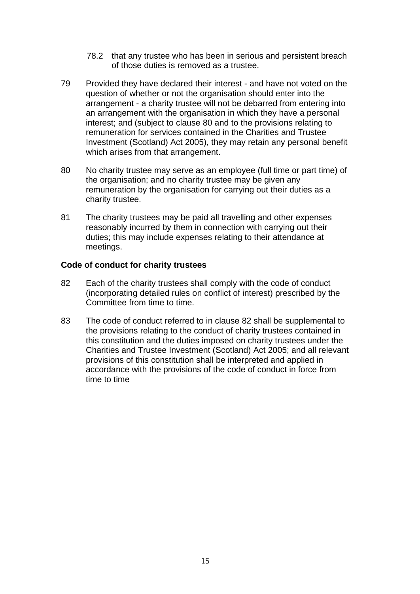- 78.2 that any trustee who has been in serious and persistent breach of those duties is removed as a trustee.
- 79 Provided they have declared their interest and have not voted on the question of whether or not the organisation should enter into the arrangement - a charity trustee will not be debarred from entering into an arrangement with the organisation in which they have a personal interest; and (subject to clause 80 and to the provisions relating to remuneration for services contained in the Charities and Trustee Investment (Scotland) Act 2005), they may retain any personal benefit which arises from that arrangement.
- 80 No charity trustee may serve as an employee (full time or part time) of the organisation; and no charity trustee may be given any remuneration by the organisation for carrying out their duties as a charity trustee.
- 81 The charity trustees may be paid all travelling and other expenses reasonably incurred by them in connection with carrying out their duties; this may include expenses relating to their attendance at meetings.

## **Code of conduct for charity trustees**

- 82 Each of the charity trustees shall comply with the code of conduct (incorporating detailed rules on conflict of interest) prescribed by the Committee from time to time.
- 83 The code of conduct referred to in clause 82 shall be supplemental to the provisions relating to the conduct of charity trustees contained in this constitution and the duties imposed on charity trustees under the Charities and Trustee Investment (Scotland) Act 2005; and all relevant provisions of this constitution shall be interpreted and applied in accordance with the provisions of the code of conduct in force from time to time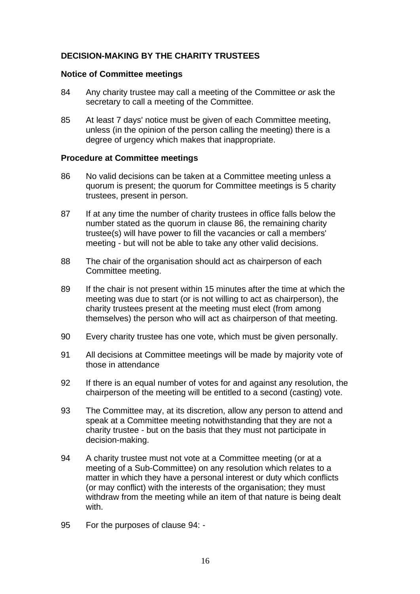## **DECISION-MAKING BY THE CHARITY TRUSTEES**

#### **Notice of Committee meetings**

- 84 Any charity trustee may call a meeting of the Committee *or* ask the secretary to call a meeting of the Committee.
- 85 At least 7 days' notice must be given of each Committee meeting, unless (in the opinion of the person calling the meeting) there is a degree of urgency which makes that inappropriate.

#### **Procedure at Committee meetings**

- 86 No valid decisions can be taken at a Committee meeting unless a quorum is present; the quorum for Committee meetings is 5 charity trustees, present in person.
- 87 If at any time the number of charity trustees in office falls below the number stated as the quorum in clause 86, the remaining charity trustee(s) will have power to fill the vacancies or call a members' meeting - but will not be able to take any other valid decisions.
- 88 The chair of the organisation should act as chairperson of each Committee meeting.
- 89 If the chair is not present within 15 minutes after the time at which the meeting was due to start (or is not willing to act as chairperson), the charity trustees present at the meeting must elect (from among themselves) the person who will act as chairperson of that meeting.
- 90 Every charity trustee has one vote, which must be given personally.
- 91 All decisions at Committee meetings will be made by majority vote of those in attendance
- 92 If there is an equal number of votes for and against any resolution, the chairperson of the meeting will be entitled to a second (casting) vote.
- 93 The Committee may, at its discretion, allow any person to attend and speak at a Committee meeting notwithstanding that they are not a charity trustee - but on the basis that they must not participate in decision-making.
- 94 A charity trustee must not vote at a Committee meeting (or at a meeting of a Sub-Committee) on any resolution which relates to a matter in which they have a personal interest or duty which conflicts (or may conflict) with the interests of the organisation; they must withdraw from the meeting while an item of that nature is being dealt with.
- 95 For the purposes of clause 94: -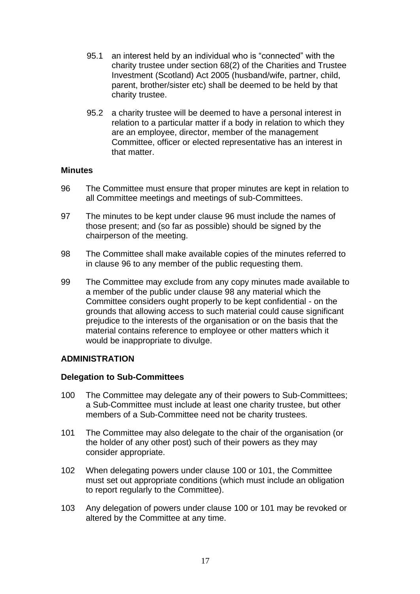- 95.1 an interest held by an individual who is "connected" with the charity trustee under section 68(2) of the Charities and Trustee Investment (Scotland) Act 2005 (husband/wife, partner, child, parent, brother/sister etc) shall be deemed to be held by that charity trustee.
- 95.2 a charity trustee will be deemed to have a personal interest in relation to a particular matter if a body in relation to which they are an employee, director, member of the management Committee, officer or elected representative has an interest in that matter.

## **Minutes**

- 96 The Committee must ensure that proper minutes are kept in relation to all Committee meetings and meetings of sub-Committees.
- 97 The minutes to be kept under clause 96 must include the names of those present; and (so far as possible) should be signed by the chairperson of the meeting.
- 98 The Committee shall make available copies of the minutes referred to in clause 96 to any member of the public requesting them.
- 99 The Committee may exclude from any copy minutes made available to a member of the public under clause 98 any material which the Committee considers ought properly to be kept confidential - on the grounds that allowing access to such material could cause significant prejudice to the interests of the organisation or on the basis that the material contains reference to employee or other matters which it would be inappropriate to divulge.

## **ADMINISTRATION**

## **Delegation to Sub-Committees**

- 100 The Committee may delegate any of their powers to Sub-Committees; a Sub-Committee must include at least one charity trustee, but other members of a Sub-Committee need not be charity trustees.
- 101 The Committee may also delegate to the chair of the organisation (or the holder of any other post) such of their powers as they may consider appropriate.
- 102 When delegating powers under clause 100 or 101, the Committee must set out appropriate conditions (which must include an obligation to report regularly to the Committee).
- 103 Any delegation of powers under clause 100 or 101 may be revoked or altered by the Committee at any time.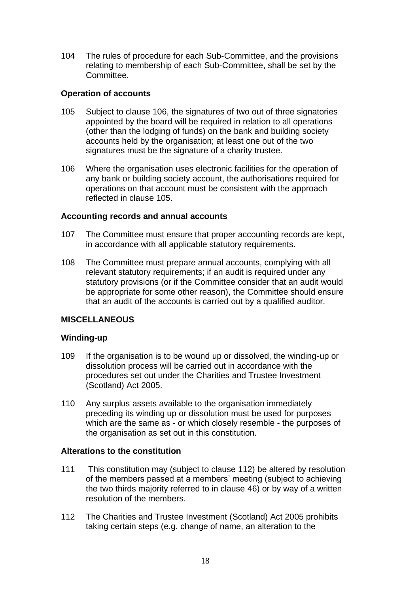104 The rules of procedure for each Sub-Committee, and the provisions relating to membership of each Sub-Committee, shall be set by the Committee.

## **Operation of accounts**

- 105 Subject to clause 106, the signatures of two out of three signatories appointed by the board will be required in relation to all operations (other than the lodging of funds) on the bank and building society accounts held by the organisation; at least one out of the two signatures must be the signature of a charity trustee.
- 106 Where the organisation uses electronic facilities for the operation of any bank or building society account, the authorisations required for operations on that account must be consistent with the approach reflected in clause 105.

## **Accounting records and annual accounts**

- 107 The Committee must ensure that proper accounting records are kept, in accordance with all applicable statutory requirements.
- 108 The Committee must prepare annual accounts, complying with all relevant statutory requirements; if an audit is required under any statutory provisions (or if the Committee consider that an audit would be appropriate for some other reason), the Committee should ensure that an audit of the accounts is carried out by a qualified auditor.

## **MISCELLANEOUS**

## **Winding-up**

- 109 If the organisation is to be wound up or dissolved, the winding-up or dissolution process will be carried out in accordance with the procedures set out under the Charities and Trustee Investment (Scotland) Act 2005.
- 110 Any surplus assets available to the organisation immediately preceding its winding up or dissolution must be used for purposes which are the same as - or which closely resemble - the purposes of the organisation as set out in this constitution.

## **Alterations to the constitution**

- 111 This constitution may (subject to clause 112) be altered by resolution of the members passed at a members' meeting (subject to achieving the two thirds majority referred to in clause 46) or by way of a written resolution of the members.
- 112 The Charities and Trustee Investment (Scotland) Act 2005 prohibits taking certain steps (e.g. change of name, an alteration to the